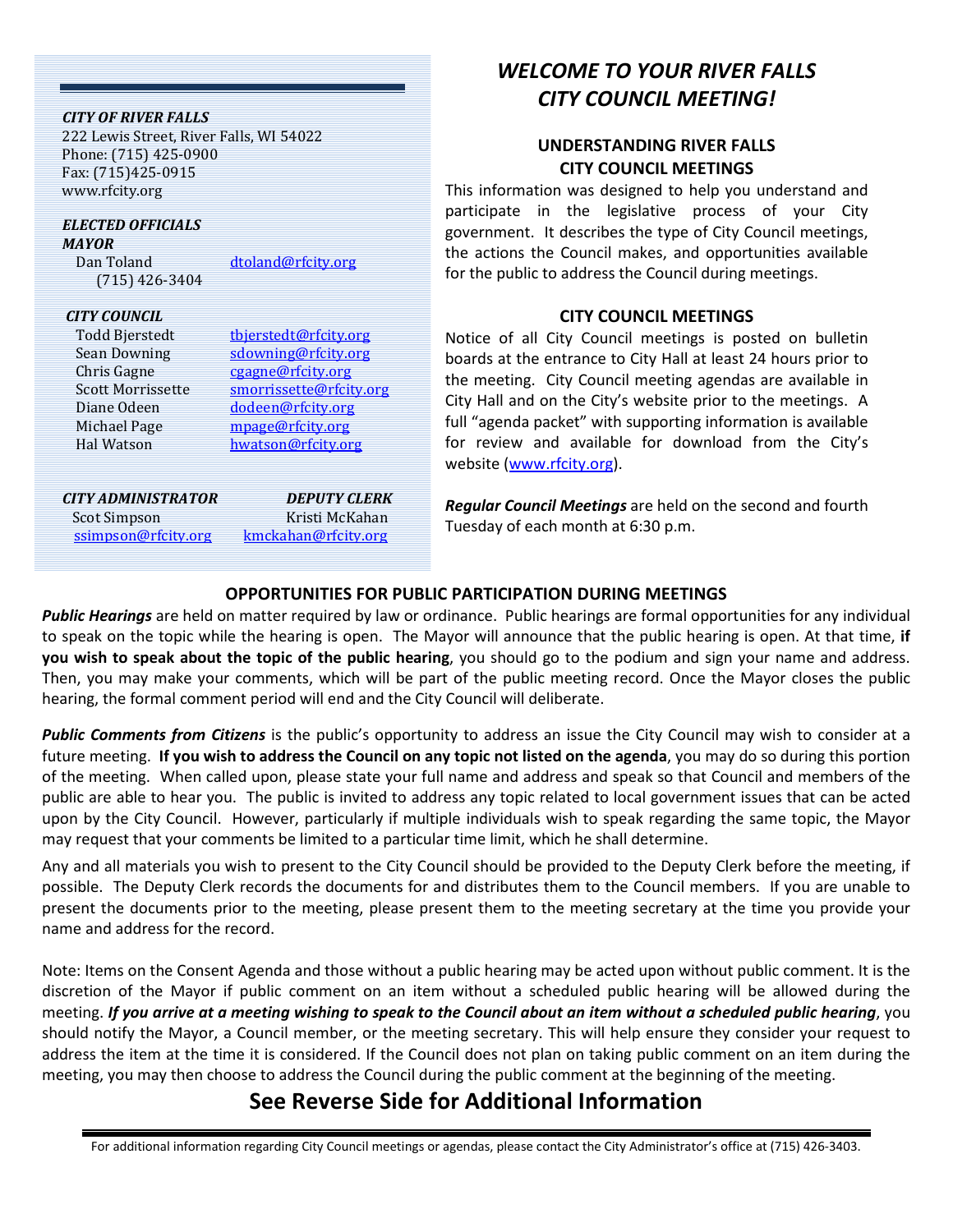| <b>CITY OF RIVER FALLS</b><br>222 Lewis Street, River Falls, WI 54022<br>Phone: (715) 425-0900<br>Fax: (715)425-0915<br>www.rfcity.org        |                                                                                                                                                             | This inform                                                                                        |
|-----------------------------------------------------------------------------------------------------------------------------------------------|-------------------------------------------------------------------------------------------------------------------------------------------------------------|----------------------------------------------------------------------------------------------------|
| <b>ELECTED OFFICIALS</b><br><b>MAYOR</b><br>Dan Toland<br>$(715)$ 426-3404                                                                    | dtoland@rfcity.org                                                                                                                                          | participate<br>governmen<br>the actions<br>for the pub                                             |
| <b>CITY COUNCIL</b><br>Todd Bjerstedt<br>Sean Downing<br>Chris Gagne<br><b>Scott Morrissette</b><br>Diane Odeen<br>Michael Page<br>Hal Watson | tbjerstedt@rfcity.org<br>sdowning@rfcity.org<br>cgagne@rfcity.org<br>smorrissette@rfcity.org<br>dodeen@rfcity.org<br>mpage@rfcity.org<br>hwatson@rfcity.org | Notice of<br>boards at t<br>the meetin<br>City Hall an<br>full "agenda<br>for review<br>website (w |
| <b>CITY ADMINISTRATOR</b><br>Scot Simpson<br>ssimpson@rfcity.org                                                                              | <b>DEPUTY CLERK</b><br>Kristi McKahan<br>kmckahan@rfcity.org                                                                                                | <b>Regular Co</b><br>Tuesday of                                                                    |

# *WELCOME TO YOUR RIVER FALLS CITY COUNCIL MEETING!*

### **UNDERSTANDING RIVER FALLS CITY COUNCIL MEETINGS**

ation was designed to help you understand and in the legislative process of your City t. It describes the type of City Council meetings, the Council makes, and opportunities available lic to address the Council during meetings.

### **CITY COUNCIL MEETINGS**

all City Council meetings is posted on bulletin he entrance to City Hall at least 24 hours prior to g. City Council meeting agendas are available in d on the City's website prior to the meetings. A a packet" with supporting information is available and available for download from the City's ww.rfcity.org).

uncil Meetings are held on the second and fourth each month at 6:30 p.m.

## **O[PPORTUNITIES FOR](mailto:kmckahan@rfcity.org) PUBLIC PARTICIPATION DURING MEETINGS**

*Public Hearings* are held on matter required by law or ordinance. Public hearings are formal opportunities for any individual to speak on the topic while the hearing is open. The Mayor will announce that the public hearing is open. At that time, **if you wish to speak about the topic of the public hearing**, you should go to the podium and sign your name and address. Then, you may make your comments, which will be part of the public meeting record. Once the Mayor closes the public hearing, the formal comment period will end and the City Council will deliberate.

*Public Comments from Citizens* is the public's opportunity to address an issue the City Council may wish to consider at a future meeting. **If you wish to address the Council on any topic not listed on the agenda**, you may do so during this portion of the meeting. When called upon, please state your full name and address and speak so that Council and members of the public are able to hear you. The public is invited to address any topic related to local government issues that can be acted upon by the City Council. However, particularly if multiple individuals wish to speak regarding the same topic, the Mayor may request that your comments be limited to a particular time limit, which he shall determine.

Any and all materials you wish to present to the City Council should be provided to the Deputy Clerk before the meeting, if possible. The Deputy Clerk records the documents for and distributes them to the Council members. If you are unable to present the documents prior to the meeting, please present them to the meeting secretary at the time you provide your name and address for the record.

Note: Items on the Consent Agenda and those without a public hearing may be acted upon without public comment. It is the discretion of the Mayor if public comment on an item without a scheduled public hearing will be allowed during the meeting. *If you arrive at a meeting wishing to speak to the Council about an item without a scheduled public hearing*, you should notify the Mayor, a Council member, or the meeting secretary. This will help ensure they consider your request to address the item at the time it is considered. If the Council does not plan on taking public comment on an item during the meeting, you may then choose to address the Council during the public comment at the beginning of the meeting.

# **See Reverse Side for Additional Information**

For additional information regarding City Council meetings or agendas, please contact the City Administrator's office at (715) 426-3403.